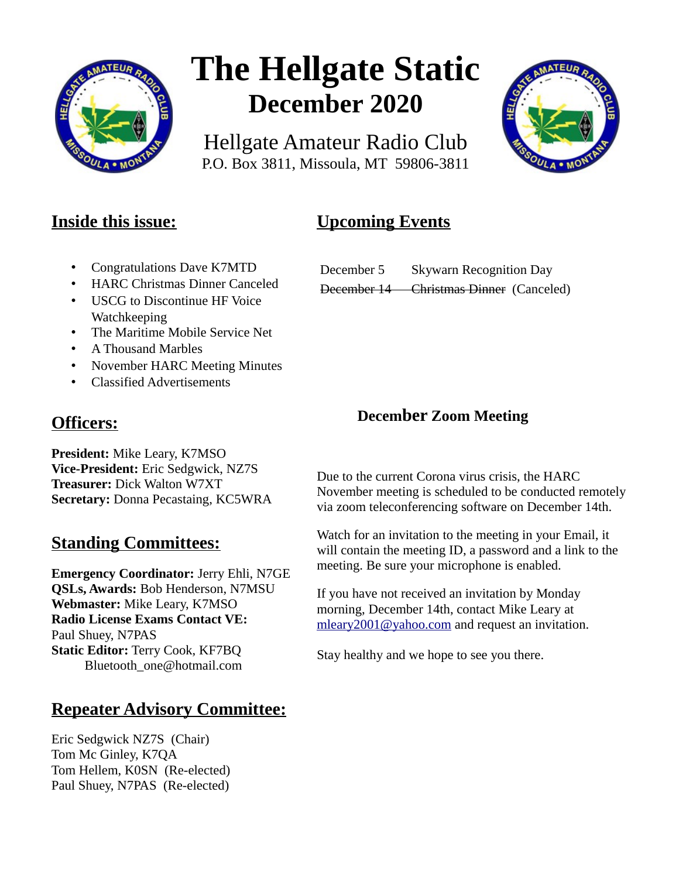

# **The Hellgate Static December 2020**

Hellgate Amateur Radio Club P.O. Box 3811, Missoula, MT 59806-3811



### **Inside this issue:**

### **Upcoming Events**

- Congratulations Dave K7MTD
- HARC Christmas Dinner Canceled
- USCG to Discontinue HF Voice Watchkeeping
- The Maritime Mobile Service Net
- A Thousand Marbles
- November HARC Meeting Minutes
- Classified Advertisements

### **Officers:**

**President:** Mike Leary, K7MSO **Vice-President:** Eric Sedgwick, NZ7S **Treasurer:** Dick Walton W7XT **Secretary:** Donna Pecastaing, KC5WRA

### **Standing Committees:**

**Emergency Coordinator:** Jerry Ehli, N7GE **QSLs, Awards:** Bob Henderson, N7MSU **Webmaster:** Mike Leary, K7MSO **Radio License Exams Contact VE:** Paul Shuey, N7PAS **Static Editor:** Terry Cook, KF7BQ Bluetooth\_one@hotmail.com

## **Repeater Advisory Committee:**

Eric Sedgwick NZ7S (Chair) Tom Mc Ginley, K7QA Tom Hellem, K0SN (Re-elected) Paul Shuey, N7PAS (Re-elected)

 December 5 Skywarn Recognition Day December 14 Christmas Dinner (Canceled)

### **December Zoom Meeting**

Due to the current Corona virus crisis, the HARC November meeting is scheduled to be conducted remotely via zoom teleconferencing software on December 14th.

Watch for an invitation to the meeting in your Email, it will contain the meeting ID, a password and a link to the meeting. Be sure your microphone is enabled.

If you have not received an invitation by Monday morning, December 14th, contact Mike Leary at [mleary2001@yahoo.com](mailto:mleary2001@yahoo.com) and request an invitation.

Stay healthy and we hope to see you there.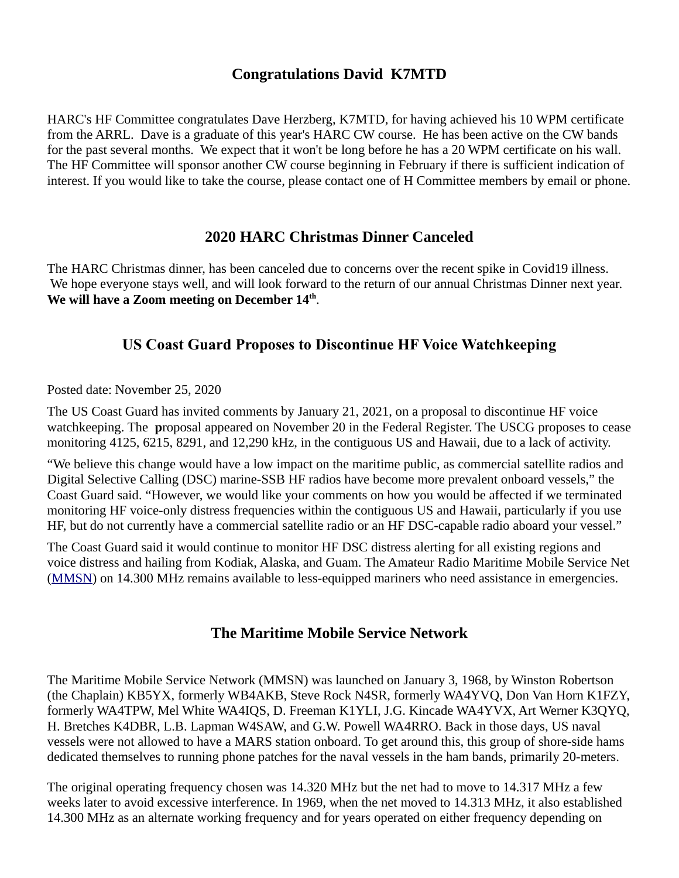### **Congratulations David K7MTD**

HARC's HF Committee congratulates Dave Herzberg, K7MTD, for having achieved his 10 WPM certificate from the ARRL. Dave is a graduate of this year's HARC CW course. He has been active on the CW bands for the past several months. We expect that it won't be long before he has a 20 WPM certificate on his wall. The HF Committee will sponsor another CW course beginning in February if there is sufficient indication of interest. If you would like to take the course, please contact one of H Committee members by email or phone.

### **2020 HARC Christmas Dinner Canceled**

The HARC Christmas dinner, has been canceled due to concerns over the recent spike in Covid19 illness. We hope everyone stays well, and will look forward to the return of our annual Christmas Dinner next year. **We will have a Zoom meeting on December 14th** .

### **US Coast Guard Proposes to Discontinue HF Voice Watchkeeping**

Posted date: November 25, 2020

The US Coast Guard has invited comments by January 21, 2021, on a proposal to discontinue HF voice watchkeeping. The **p**roposal appeared on November 20 in the Federal Register. The USCG proposes to cease monitoring 4125, 6215, 8291, and 12,290 kHz, in the contiguous US and Hawaii, due to a lack of activity.

"We believe this change would have a low impact on the maritime public, as commercial satellite radios and Digital Selective Calling (DSC) marine-SSB HF radios have become more prevalent onboard vessels," the Coast Guard said. "However, we would like your comments on how you would be affected if we terminated monitoring HF voice-only distress frequencies within the contiguous US and Hawaii, particularly if you use HF, but do not currently have a commercial satellite radio or an HF DSC-capable radio aboard your vessel."

The Coast Guard said it would continue to monitor HF DSC distress alerting for all existing regions and voice distress and hailing from Kodiak, Alaska, and Guam. The Amateur Radio Maritime Mobile Service Net [\(MMSN\)](https://www.mmsn.org/) on 14.300 MHz remains available to less-equipped mariners who need assistance in emergencies.

### **The Maritime Mobile Service Network**

The Maritime Mobile Service Network (MMSN) was launched on January 3, 1968, by Winston Robertson (the Chaplain) KB5YX, formerly WB4AKB, Steve Rock N4SR, formerly WA4YVQ, Don Van Horn K1FZY, formerly WA4TPW, Mel White WA4IQS, D. Freeman K1YLI, J.G. Kincade WA4YVX, Art Werner K3QYQ, H. Bretches K4DBR, L.B. Lapman W4SAW, and G.W. Powell WA4RRO. Back in those days, US naval vessels were not allowed to have a MARS station onboard. To get around this, this group of shore-side hams dedicated themselves to running phone patches for the naval vessels in the ham bands, primarily 20-meters.

The original operating frequency chosen was 14.320 MHz but the net had to move to 14.317 MHz a few weeks later to avoid excessive interference. In 1969, when the net moved to 14.313 MHz, it also established 14.300 MHz as an alternate working frequency and for years operated on either frequency depending on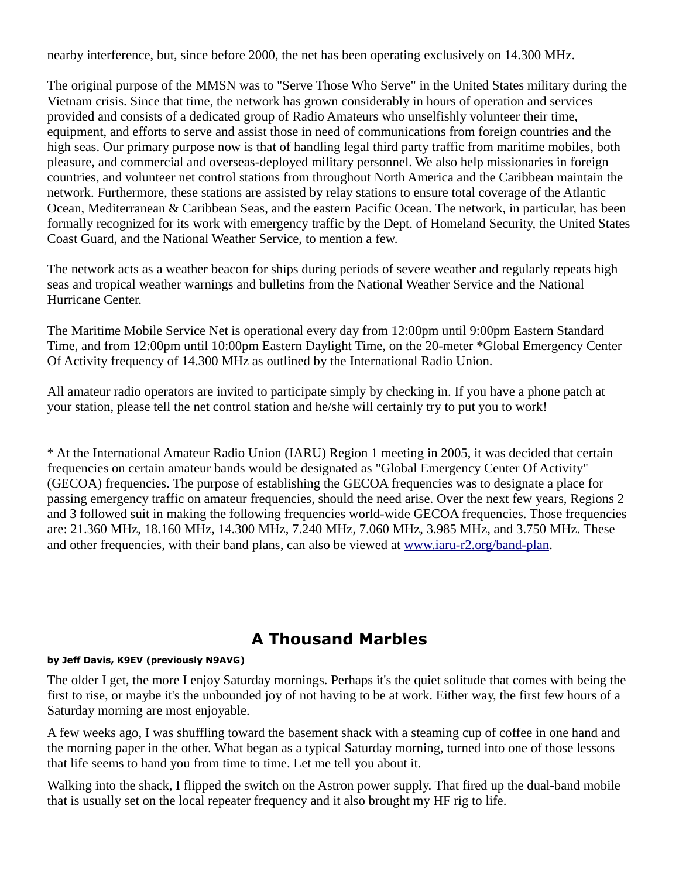nearby interference, but, since before 2000, the net has been operating exclusively on 14.300 MHz.

The original purpose of the MMSN was to "Serve Those Who Serve" in the United States military during the Vietnam crisis. Since that time, the network has grown considerably in hours of operation and services provided and consists of a dedicated group of Radio Amateurs who unselfishly volunteer their time, equipment, and efforts to serve and assist those in need of communications from foreign countries and the high seas. Our primary purpose now is that of handling legal third party traffic from maritime mobiles, both pleasure, and commercial and overseas-deployed military personnel. We also help missionaries in foreign countries, and volunteer net control stations from throughout North America and the Caribbean maintain the network. Furthermore, these stations are assisted by relay stations to ensure total coverage of the Atlantic Ocean, Mediterranean & Caribbean Seas, and the eastern Pacific Ocean. The network, in particular, has been formally recognized for its work with emergency traffic by the Dept. of Homeland Security, the United States Coast Guard, and the National Weather Service, to mention a few.

The network acts as a weather beacon for ships during periods of severe weather and regularly repeats high seas and tropical weather warnings and bulletins from the National Weather Service and the National Hurricane Center.

The Maritime Mobile Service Net is operational every day from 12:00pm until 9:00pm Eastern Standard Time, and from 12:00pm until 10:00pm Eastern Daylight Time, on the 20-meter \*Global Emergency Center Of Activity frequency of 14.300 MHz as outlined by the International Radio Union.

All amateur radio operators are invited to participate simply by checking in. If you have a phone patch at your station, please tell the net control station and he/she will certainly try to put you to work!

\* At the International Amateur Radio Union (IARU) Region 1 meeting in 2005, it was decided that certain frequencies on certain amateur bands would be designated as "Global Emergency Center Of Activity" (GECOA) frequencies. The purpose of establishing the GECOA frequencies was to designate a place for passing emergency traffic on amateur frequencies, should the need arise. Over the next few years, Regions 2 and 3 followed suit in making the following frequencies world-wide GECOA frequencies. Those frequencies are: 21.360 MHz, 18.160 MHz, 14.300 MHz, 7.240 MHz, 7.060 MHz, 3.985 MHz, and 3.750 MHz. These and other frequencies, with their band plans, can also be viewed at [www.iaru-r2.org/band-plan.](http://www.iaru-r2.org/band-plan)

### **A Thousand Marbles**

#### **by Jeff Davis, K9EV (previously N9AVG)**

The older I get, the more I enjoy Saturday mornings. Perhaps it's the quiet solitude that comes with being the first to rise, or maybe it's the unbounded joy of not having to be at work. Either way, the first few hours of a Saturday morning are most enjoyable.

A few weeks ago, I was shuffling toward the basement shack with a steaming cup of coffee in one hand and the morning paper in the other. What began as a typical Saturday morning, turned into one of those lessons that life seems to hand you from time to time. Let me tell you about it.

Walking into the shack, I flipped the switch on the Astron power supply. That fired up the dual-band mobile that is usually set on the local repeater frequency and it also brought my HF rig to life.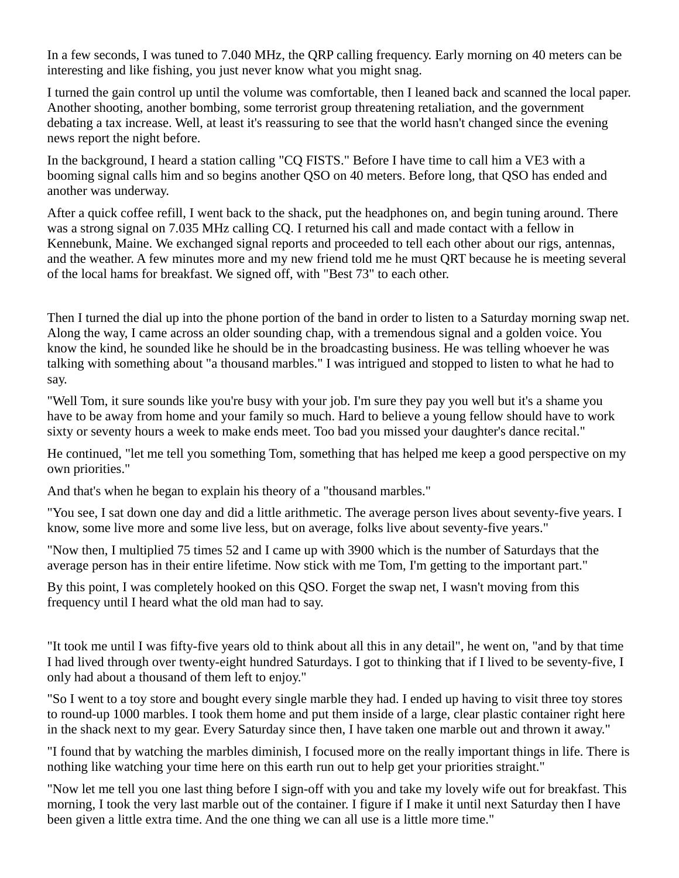In a few seconds, I was tuned to 7.040 MHz, the QRP calling frequency. Early morning on 40 meters can be interesting and like fishing, you just never know what you might snag.

I turned the gain control up until the volume was comfortable, then I leaned back and scanned the local paper. Another shooting, another bombing, some terrorist group threatening retaliation, and the government debating a tax increase. Well, at least it's reassuring to see that the world hasn't changed since the evening news report the night before.

In the background, I heard a station calling "CQ FISTS." Before I have time to call him a VE3 with a booming signal calls him and so begins another QSO on 40 meters. Before long, that QSO has ended and another was underway.

After a quick coffee refill, I went back to the shack, put the headphones on, and begin tuning around. There was a strong signal on 7.035 MHz calling CQ. I returned his call and made contact with a fellow in Kennebunk, Maine. We exchanged signal reports and proceeded to tell each other about our rigs, antennas, and the weather. A few minutes more and my new friend told me he must QRT because he is meeting several of the local hams for breakfast. We signed off, with "Best 73" to each other.

Then I turned the dial up into the phone portion of the band in order to listen to a Saturday morning swap net. Along the way, I came across an older sounding chap, with a tremendous signal and a golden voice. You know the kind, he sounded like he should be in the broadcasting business. He was telling whoever he was talking with something about "a thousand marbles." I was intrigued and stopped to listen to what he had to say.

"Well Tom, it sure sounds like you're busy with your job. I'm sure they pay you well but it's a shame you have to be away from home and your family so much. Hard to believe a young fellow should have to work sixty or seventy hours a week to make ends meet. Too bad you missed your daughter's dance recital."

He continued, "let me tell you something Tom, something that has helped me keep a good perspective on my own priorities."

And that's when he began to explain his theory of a "thousand marbles."

"You see, I sat down one day and did a little arithmetic. The average person lives about seventy-five years. I know, some live more and some live less, but on average, folks live about seventy-five years."

"Now then, I multiplied 75 times 52 and I came up with 3900 which is the number of Saturdays that the average person has in their entire lifetime. Now stick with me Tom, I'm getting to the important part."

By this point, I was completely hooked on this QSO. Forget the swap net, I wasn't moving from this frequency until I heard what the old man had to say.

"It took me until I was fifty-five years old to think about all this in any detail", he went on, "and by that time I had lived through over twenty-eight hundred Saturdays. I got to thinking that if I lived to be seventy-five, I only had about a thousand of them left to enjoy."

"So I went to a toy store and bought every single marble they had. I ended up having to visit three toy stores to round-up 1000 marbles. I took them home and put them inside of a large, clear plastic container right here in the shack next to my gear. Every Saturday since then, I have taken one marble out and thrown it away."

"I found that by watching the marbles diminish, I focused more on the really important things in life. There is nothing like watching your time here on this earth run out to help get your priorities straight."

"Now let me tell you one last thing before I sign-off with you and take my lovely wife out for breakfast. This morning, I took the very last marble out of the container. I figure if I make it until next Saturday then I have been given a little extra time. And the one thing we can all use is a little more time."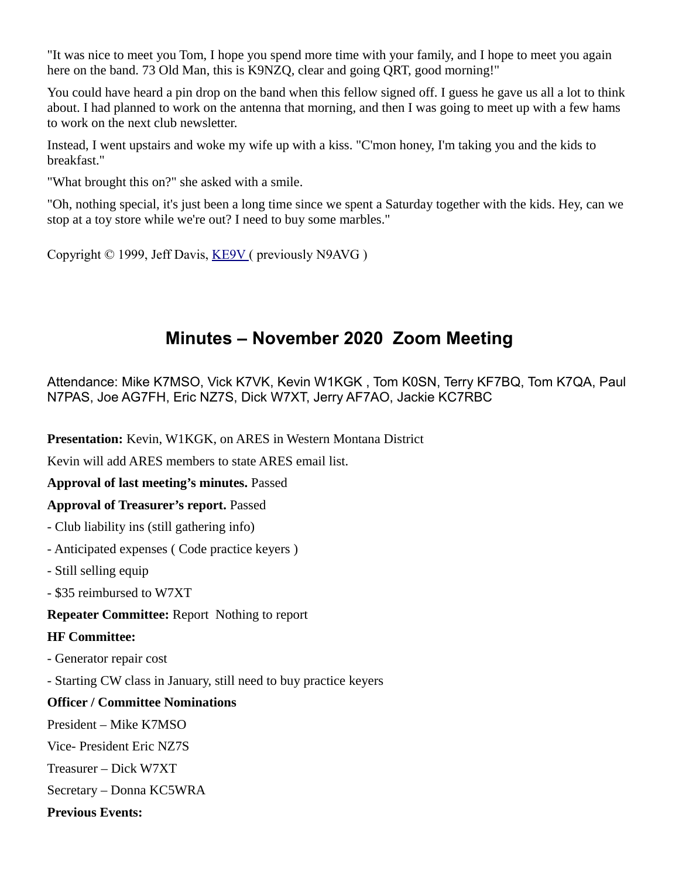"It was nice to meet you Tom, I hope you spend more time with your family, and I hope to meet you again here on the band. 73 Old Man, this is K9NZQ, clear and going QRT, good morning!"

You could have heard a pin drop on the band when this fellow signed off. I guess he gave us all a lot to think about. I had planned to work on the antenna that morning, and then I was going to meet up with a few hams to work on the next club newsletter.

Instead, I went upstairs and woke my wife up with a kiss. "C'mon honey, I'm taking you and the kids to breakfast."

"What brought this on?" she asked with a smile.

"Oh, nothing special, it's just been a long time since we spent a Saturday together with the kids. Hey, can we stop at a toy store while we're out? I need to buy some marbles."

Copyright © 1999, Jeff Davis, [KE9V \(](http://www.ke9v.net/) previously N9AVG )

### **Minutes – November 2020 Zoom Meeting**

Attendance: Mike K7MSO, Vick K7VK, Kevin W1KGK , Tom K0SN, Terry KF7BQ, Tom K7QA, Paul N7PAS, Joe AG7FH, Eric NZ7S, Dick W7XT, Jerry AF7AO, Jackie KC7RBC

**Presentation:** Kevin, W1KGK, on ARES in Western Montana District

Kevin will add ARES members to state ARES email list.

**Approval of last meeting's minutes.** Passed

### **Approval of Treasurer's report.** Passed

- Club liability ins (still gathering info)
- Anticipated expenses ( Code practice keyers )
- Still selling equip
- \$35 reimbursed to W7XT

### **Repeater Committee:** Report Nothing to report

#### **HF Committee:**

- Generator repair cost
- Starting CW class in January, still need to buy practice keyers

### **Officer / Committee Nominations**

President – Mike K7MSO

Vice- President Eric NZ7S

Treasurer – Dick W7XT

Secretary – Donna KC5WRA

#### **Previous Events:**